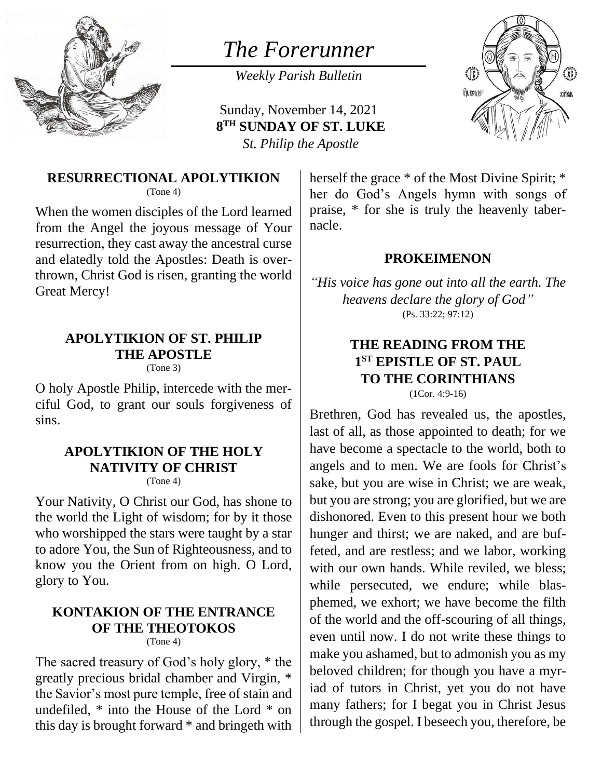

# *The Forerunner*

*Weekly Parish Bulletin*

Sunday, November 14, 2021 **8 TH SUNDAY OF ST. LUKE** *St. Philip the Apostle*



### **RESURRECTIONAL APOLYTIKION**

(Tone 4)

When the women disciples of the Lord learned from the Angel the joyous message of Your resurrection, they cast away the ancestral curse and elatedly told the Apostles: Death is overthrown, Christ God is risen, granting the world Great Mercy!

# **APOLYTIKION OF ST. PHILIP THE APOSTLE**

(Tone 3)

O holy Apostle Philip, intercede with the merciful God, to grant our souls forgiveness of sins.

# **APOLYTIKION OF THE HOLY NATIVITY OF CHRIST**

(Tone 4)

Your Nativity, O Christ our God, has shone to the world the Light of wisdom; for by it those who worshipped the stars were taught by a star to adore You, the Sun of Righteousness, and to know you the Orient from on high. O Lord, glory to You.

#### **KONTAKION OF THE ENTRANCE OF THE THEOTOKOS**

(Tone 4)

The sacred treasury of God's holy glory, \* the greatly precious bridal chamber and Virgin, \* the Savior's most pure temple, free of stain and undefiled, \* into the House of the Lord \* on this day is brought forward \* and bringeth with

herself the grace  $*$  of the Most Divine Spirit;  $*$ her do God's Angels hymn with songs of praise, \* for she is truly the heavenly tabernacle.

#### **PROKEIMENON**

*"His voice has gone out into all the earth. The heavens declare the glory of God"* (Ps. 33:22; 97:12)

# **THE READING FROM THE 1 ST EPISTLE OF ST. PAUL TO THE CORINTHIANS**

(1Cor. 4:9-16)

Brethren, God has revealed us, the apostles, last of all, as those appointed to death; for we have become a spectacle to the world, both to angels and to men. We are fools for Christ's sake, but you are wise in Christ; we are weak, but you are strong; you are glorified, but we are dishonored. Even to this present hour we both hunger and thirst; we are naked, and are buffeted, and are restless; and we labor, working with our own hands. While reviled, we bless; while persecuted, we endure; while blasphemed, we exhort; we have become the filth of the world and the off-scouring of all things, even until now. I do not write these things to make you ashamed, but to admonish you as my beloved children; for though you have a myriad of tutors in Christ, yet you do not have many fathers; for I begat you in Christ Jesus through the gospel. I beseech you, therefore, be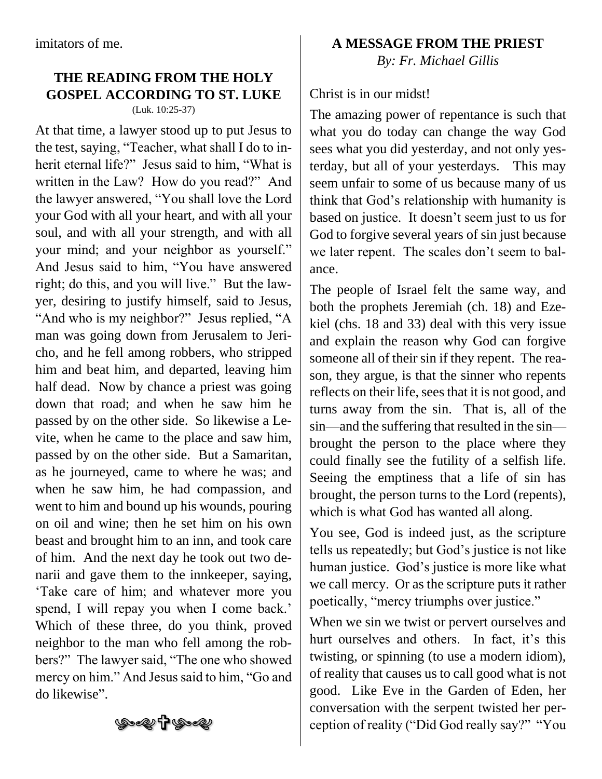# **THE READING FROM THE HOLY GOSPEL ACCORDING TO ST. LUKE**

(Luk. 10:25-37)

At that time, a lawyer stood up to put Jesus to the test, saying, "Teacher, what shall I do to inherit eternal life?" Jesus said to him, "What is written in the Law? How do you read?" And the lawyer answered, "You shall love the Lord your God with all your heart, and with all your soul, and with all your strength, and with all your mind; and your neighbor as yourself." And Jesus said to him, "You have answered right; do this, and you will live." But the lawyer, desiring to justify himself, said to Jesus, "And who is my neighbor?" Jesus replied, "A man was going down from Jerusalem to Jericho, and he fell among robbers, who stripped him and beat him, and departed, leaving him half dead. Now by chance a priest was going down that road; and when he saw him he passed by on the other side. So likewise a Levite, when he came to the place and saw him, passed by on the other side. But a Samaritan, as he journeyed, came to where he was; and when he saw him, he had compassion, and went to him and bound up his wounds, pouring on oil and wine; then he set him on his own beast and brought him to an inn, and took care of him. And the next day he took out two denarii and gave them to the innkeeper, saying, 'Take care of him; and whatever more you spend, I will repay you when I come back.' Which of these three, do you think, proved neighbor to the man who fell among the robbers?" The lawyer said, "The one who showed mercy on him." And Jesus said to him, "Go and do likewise".

**A MESSAGE FROM THE PRIEST**

*By: Fr. Michael Gillis*

Christ is in our midst!

The amazing power of repentance is such that what you do today can change the way God sees what you did yesterday, and not only yesterday, but all of your yesterdays. This may seem unfair to some of us because many of us think that God's relationship with humanity is based on justice. It doesn't seem just to us for God to forgive several years of sin just because we later repent. The scales don't seem to balance.

The people of Israel felt the same way, and both the prophets Jeremiah (ch. 18) and Ezekiel (chs. 18 and 33) deal with this very issue and explain the reason why God can forgive someone all of their sin if they repent. The reason, they argue, is that the sinner who repents reflects on their life, sees that it is not good, and turns away from the sin. That is, all of the sin—and the suffering that resulted in the sin brought the person to the place where they could finally see the futility of a selfish life. Seeing the emptiness that a life of sin has brought, the person turns to the Lord (repents), which is what God has wanted all along.

You see, God is indeed just, as the scripture tells us repeatedly; but God's justice is not like human justice. God's justice is more like what we call mercy. Or as the scripture puts it rather poetically, "mercy triumphs over justice."

When we sin we twist or pervert ourselves and hurt ourselves and others. In fact, it's this twisting, or spinning (to use a modern idiom), of reality that causes us to call good what is not good. Like Eve in the Garden of Eden, her conversation with the serpent twisted her perception of reality ("Did God really say?" "You

৩<del>,</del>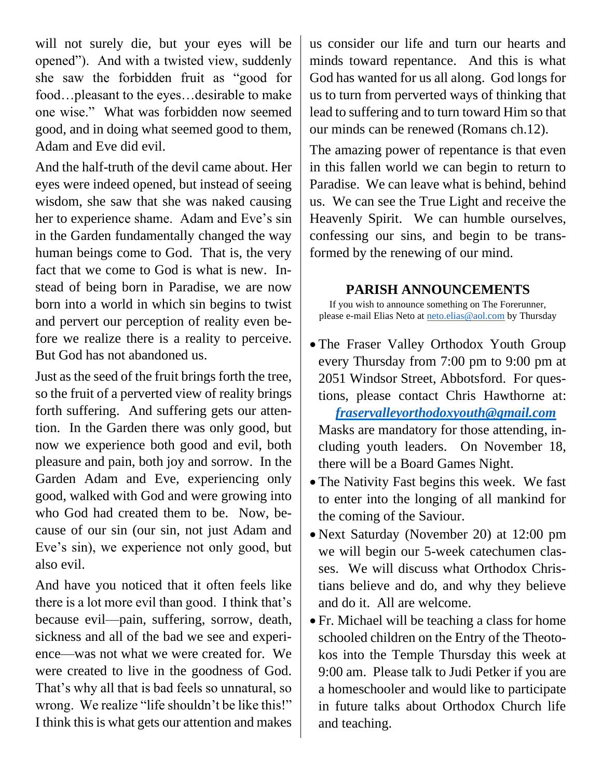will not surely die, but your eyes will be opened"). And with a twisted view, suddenly she saw the forbidden fruit as "good for food…pleasant to the eyes…desirable to make one wise." What was forbidden now seemed good, and in doing what seemed good to them, Adam and Eve did evil.

And the half-truth of the devil came about. Her eyes were indeed opened, but instead of seeing wisdom, she saw that she was naked causing her to experience shame. Adam and Eve's sin in the Garden fundamentally changed the way human beings come to God. That is, the very fact that we come to God is what is new. Instead of being born in Paradise, we are now born into a world in which sin begins to twist and pervert our perception of reality even before we realize there is a reality to perceive. But God has not abandoned us.

Just as the seed of the fruit brings forth the tree, so the fruit of a perverted view of reality brings forth suffering. And suffering gets our attention. In the Garden there was only good, but now we experience both good and evil, both pleasure and pain, both joy and sorrow. In the Garden Adam and Eve, experiencing only good, walked with God and were growing into who God had created them to be. Now, because of our sin (our sin, not just Adam and Eve's sin), we experience not only good, but also evil.

And have you noticed that it often feels like there is a lot more evil than good. I think that's because evil—pain, suffering, sorrow, death, sickness and all of the bad we see and experience—was not what we were created for. We were created to live in the goodness of God. That's why all that is bad feels so unnatural, so wrong. We realize "life shouldn't be like this!" I think this is what gets our attention and makes

us consider our life and turn our hearts and minds toward repentance. And this is what God has wanted for us all along. God longs for us to turn from perverted ways of thinking that lead to suffering and to turn toward Him so that our minds can be renewed (Romans ch.12).

The amazing power of repentance is that even in this fallen world we can begin to return to Paradise. We can leave what is behind, behind us. We can see the True Light and receive the Heavenly Spirit. We can humble ourselves, confessing our sins, and begin to be transformed by the renewing of our mind.

#### **PARISH ANNOUNCEMENTS**

If you wish to announce something on The Forerunner, please e-mail Elias Neto at [neto.elias@aol.com](mailto:neto.elias@aol.com) by Thursday

- The Fraser Valley Orthodox Youth Group every Thursday from 7:00 pm to 9:00 pm at 2051 Windsor Street, Abbotsford. For questions, please contact Chris Hawthorne at:  *[fraservalleyorthodoxyouth@gmail.com](mailto:fraservalleyorthodoxyouth@gmail.com)* Masks are mandatory for those attending, including youth leaders. On November 18, there will be a Board Games Night.
- The Nativity Fast begins this week. We fast to enter into the longing of all mankind for the coming of the Saviour.
- Next Saturday (November 20) at 12:00 pm we will begin our 5-week catechumen classes. We will discuss what Orthodox Christians believe and do, and why they believe and do it. All are welcome.
- Fr. Michael will be teaching a class for home schooled children on the Entry of the Theotokos into the Temple Thursday this week at 9:00 am. Please talk to Judi Petker if you are a homeschooler and would like to participate in future talks about Orthodox Church life and teaching.